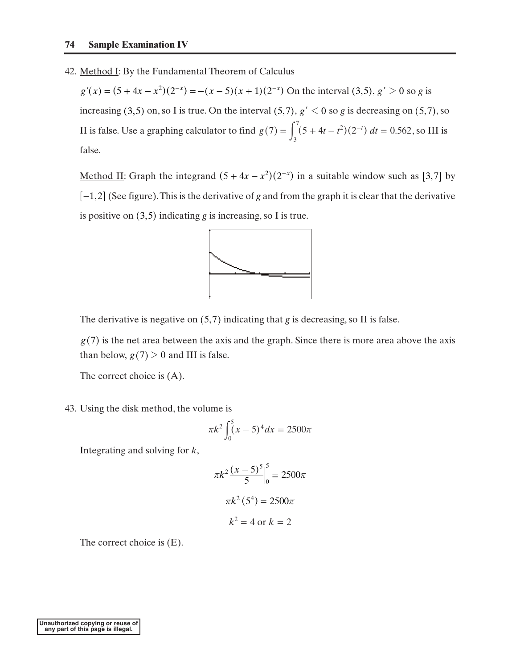42. Method I: By the Fundamental Theorem of Calculus

 $g'(x) = (5 + 4x - x^2)(2^{-x}) = -(x - 5)(x + 1)(2^{-x})$  On the interval (3,5),  $g' > 0$  so g is increasing (3,5) on, so I is true. On the interval  $(5, 7)$ ,  $g' < 0$  so g is decreasing on  $(5, 7)$ , so false. **Sample Examination IV**<br> *g'*(*x*) = (5 + 4*x* - *x*<sup>2</sup>)(2<sup>-*x*</sup>) = -(*x* - 5)(*x* + 1)(2<sup>-*x*</sup>) On the interval (3,5), *g'* > 0<br>
increasing (3,5) on, so I is true. On the interval (5,7), *g'* < 0 so *g* is decreasing (<br> Calculus<br>  $g(2^{-x})$  On the interval (3,5),  $g' > 0$  s<br>
val (5,7),  $g' < 0$  so g is decreasing on<br>  $g(7) = \int_3^7 (5 + 4t - t^2)(2^{-t}) dt = 0.562$ 3 7 allus<br>
(a) On the interval (3,5),  $g'$ <br>
5,7),  $g' < 0$  so g is decreas<br>  $= \int_3^7 (5 + 4t - t^2)(2^{-t}) dt =$ <br>
(b)  $e^{2-t}$  in a suitable window 'alculus<br>
(2<sup>-x</sup>) On the interval (3,5<br>
al (5,7),  $g' < 0$  so g is de<br>
(7) =  $\int_3^7 (5 + 4t - t^2) (2^{-t})$ <br>
<sup>2</sup>)(2<sup>-x</sup>) in a suitable win

II is false. Use a graphing calculator to find  $g(7) = \int_3^7 (5 + 4t - t^2)(2^{-t}) dt = 0.562$ , so III is false.<br>
<u>Method II</u>: Graph the integrand  $(5 + 4x - x^2)(2^{-x})$  in a suitable window such as [3,7] l [-1,2] (See figure). This is t Method II: Graph the integrand  $(5 + 4x - x^2)(2^{-x})$  in a suitable window such as [3,7] by  $[-1,2]$  (See figure). This is the derivative of *g* and from the graph it is clear that the derivative is positive on  $(3, 5)$  indicating *g* is increasing, so I is true.



The derivative is negative on  $(5,7)$  indicating that *g* is decreasing, so II is false.

 $g(7)$  is the net area between the axis and the graph. Since there is more area above the axis than below,  $g(7) > 0$  and III is false. det area b<br> $g(7) > 0$ 

The correct choice is (A).

43. Using the disk method, the volume is

false.  
\n
$$
\pi k^2 \int_0^5 (x - 5)^4 dx = 2500\pi
$$
\n
$$
\pi k^2 \frac{(x - 5)^5}{5} \bigg|_0^5 = 2500\pi
$$

Integrating and solving for *k*,

ne is  
\n
$$
k^2 \int_0^5 (x - 5)^4 dx = 2500
$$
\n
$$
\pi k^2 \frac{(x - 5)^5}{5} \Big|_0^5 = 2500\pi
$$
\n
$$
\pi k^2 (5^4) = 2500\pi
$$
\n
$$
k^2 = 4 \text{ or } k = 2
$$

The correct choice is (E).